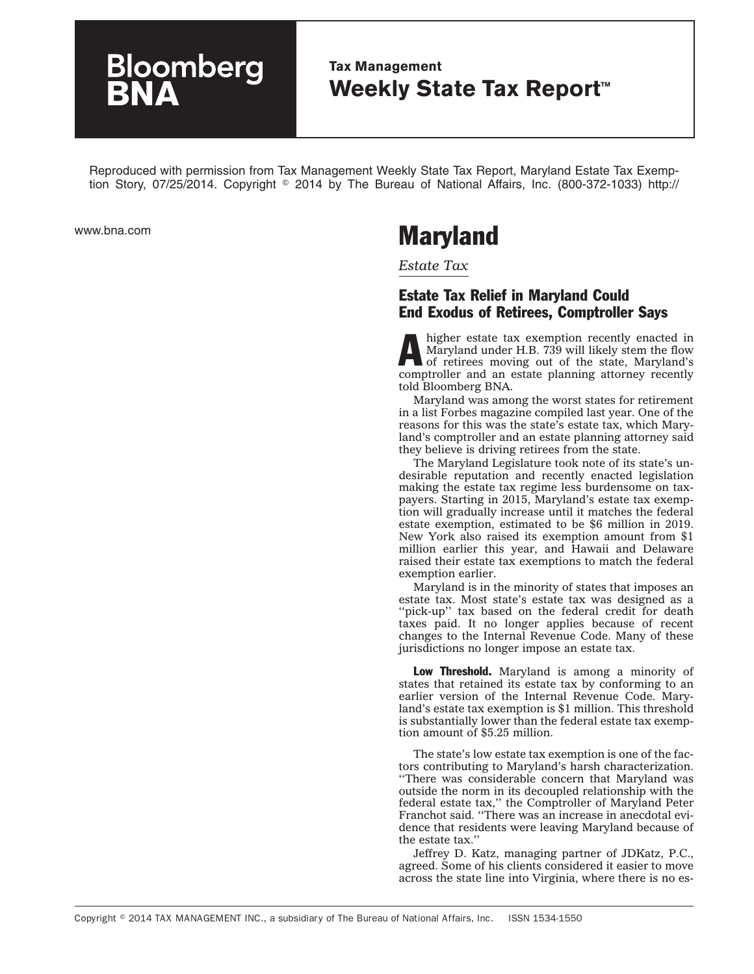## **Bloomberg**

## **Tax Management Weekly State Tax Report™**

Reproduced with permission from Tax Management Weekly State Tax Report, Maryland Estate Tax Exemption Story, 07/25/2014. Copyright © 2014 by The Bureau of National Affairs, Inc. (800-372-1033) http://

## www.bna.com **Maryland**

*Estate Tax*

## Estate Tax Relief in Maryland Could End Exodus of Retirees, Comptroller Says

A higher estate tax exemption recently enacted in Maryland under H.B. 739 will likely stem the flow of retirees moving out of the state, Maryland's Maryland under H.B. 739 will likely stem the flow comptroller and an estate planning attorney recently told Bloomberg BNA.

Maryland was among the worst states for retirement in a list Forbes magazine compiled last year. One of the reasons for this was the state's estate tax, which Maryland's comptroller and an estate planning attorney said they believe is driving retirees from the state.

The Maryland Legislature took note of its state's undesirable reputation and recently enacted legislation making the estate tax regime less burdensome on taxpayers. Starting in 2015, Maryland's estate tax exemption will gradually increase until it matches the federal estate exemption, estimated to be \$6 million in 2019. New York also raised its exemption amount from \$1 million earlier this year, and Hawaii and Delaware raised their estate tax exemptions to match the federal exemption earlier.

Maryland is in the minority of states that imposes an estate tax. Most state's estate tax was designed as a "pick-up" tax based on the federal credit for death taxes paid. It no longer applies because of recent changes to the Internal Revenue Code. Many of these jurisdictions no longer impose an estate tax.

Low Threshold. Maryland is among a minority of states that retained its estate tax by conforming to an earlier version of the Internal Revenue Code. Maryland's estate tax exemption is \$1 million. This threshold is substantially lower than the federal estate tax exemption amount of \$5.25 million.

The state's low estate tax exemption is one of the factors contributing to Maryland's harsh characterization. ''There was considerable concern that Maryland was outside the norm in its decoupled relationship with the federal estate tax,'' the Comptroller of Maryland Peter Franchot said. ''There was an increase in anecdotal evidence that residents were leaving Maryland because of the estate tax.''

Jeffrey D. Katz, managing partner of JDKatz, P.C., agreed. Some of his clients considered it easier to move across the state line into Virginia, where there is no es